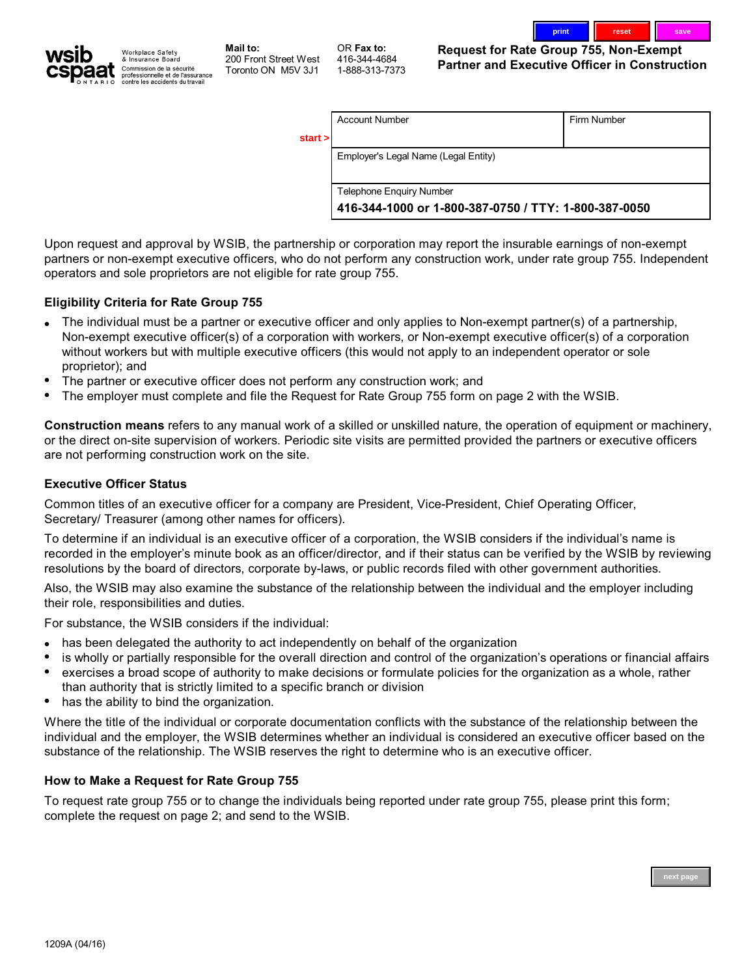



**Mail to: 200 Front Street West Toronto ON M5V 3J1**

**OR Fax to: 416-344-4684 1-888-313-7373** **Request for Rate Group 755, Non-Exempt Partner and Executive Officer in Construction**

| start > | <b>Account Number</b>                                | Firm Number |  |
|---------|------------------------------------------------------|-------------|--|
|         | Employer's Legal Name (Legal Entity)                 |             |  |
|         | Telephone Enquiry Number                             |             |  |
|         | 416-344-1000 or 1-800-387-0750 / TTY: 1-800-387-0050 |             |  |

**Upon request and approval by WSIB, the partnership or corporation may report the insurable earnings of non-exempt partners or non-exempt executive officers, who do not perform any construction work, under rate group 755. Independent operators and sole proprietors are not eligible for rate group 755.**

### **Eligibility Criteria for Rate Group 755**

- **The individual must be a partner or executive officer and only applies to Non-exempt partner(s) of a partnership, • Non-exempt executive officer(s) of a corporation with workers, or Non-exempt executive officer(s) of a corporation without workers but with multiple executive officers (this would not apply to an independent operator or sole proprietor); and**
- **The partner or executive officer does not perform any construction work; and •**
- **The employer must complete and file the Request for Rate Group 755 form on page 2 with the WSIB. •**

**Construction means refers to any manual work of a skilled or unskilled nature, the operation of equipment or machinery, or the direct on-site supervision of workers. Periodic site visits are permitted provided the partners or executive officers are not performing construction work on the site.**

### **Executive Officer Status**

**Common titles of an executive officer for a company are President, Vice-President, Chief Operating Officer, Secretary/ Treasurer (among other names for officers).**

**To determine if an individual is an executive officer of a corporation, the WSIB considers if the individual's name is recorded in the employer's minute book as an officer/director, and if their status can be verified by the WSIB by reviewing resolutions by the board of directors, corporate by-laws, or public records filed with other government authorities.**

**Also, the WSIB may also examine the substance of the relationship between the individual and the employer including their role, responsibilities and duties.** 

**For substance, the WSIB considers if the individual:**

- **has been delegated the authority to act independently on behalf of the organization •**
- **is wholly or partially responsible for the overall direction and control of the organization's operations or financial affairs •**
- **•** exercises a broad scope of authority to make decisions or formulate policies for the organization as a whole, rather **than authority that is strictly limited to a specific branch or division**
- **has the ability to bind the organization. •**

**Where the title of the individual or corporate documentation conflicts with the substance of the relationship between the individual and the employer, the WSIB determines whether an individual is considered an executive officer based on the substance of the relationship. The WSIB reserves the right to determine who is an executive officer.**

#### **How to Make a Request for Rate Group 755**

**To request rate group 755 or to change the individuals being reported under rate group 755, please print this form; complete the request on page 2; and send to the WSIB.**